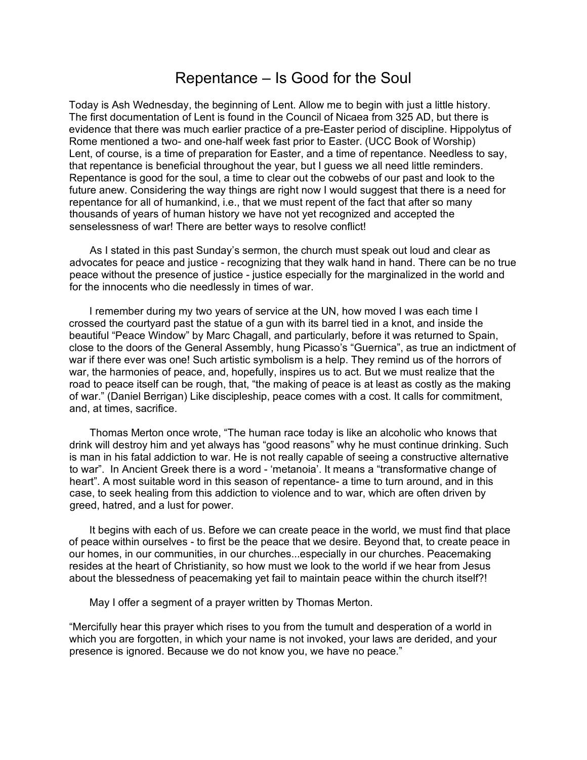## Repentance – Is Good for the Soul

Today is Ash Wednesday, the beginning of Lent. Allow me to begin with just a little history. The first documentation of Lent is found in the Council of Nicaea from 325 AD, but there is evidence that there was much earlier practice of a pre-Easter period of discipline. Hippolytus of Rome mentioned a two- and one-half week fast prior to Easter. (UCC Book of Worship) Lent, of course, is a time of preparation for Easter, and a time of repentance. Needless to say, that repentance is beneficial throughout the year, but I guess we all need little reminders. Repentance is good for the soul, a time to clear out the cobwebs of our past and look to the future anew. Considering the way things are right now I would suggest that there is a need for repentance for all of humankind, i.e., that we must repent of the fact that after so many thousands of years of human history we have not yet recognized and accepted the senselessness of war! There are better ways to resolve conflict!

 As I stated in this past Sunday's sermon, the church must speak out loud and clear as advocates for peace and justice - recognizing that they walk hand in hand. There can be no true peace without the presence of justice - justice especially for the marginalized in the world and for the innocents who die needlessly in times of war.

 I remember during my two years of service at the UN, how moved I was each time I crossed the courtyard past the statue of a gun with its barrel tied in a knot, and inside the beautiful "Peace Window" by Marc Chagall, and particularly, before it was returned to Spain, close to the doors of the General Assembly, hung Picasso's "Guernica", as true an indictment of war if there ever was one! Such artistic symbolism is a help. They remind us of the horrors of war, the harmonies of peace, and, hopefully, inspires us to act. But we must realize that the road to peace itself can be rough, that, "the making of peace is at least as costly as the making of war." (Daniel Berrigan) Like discipleship, peace comes with a cost. It calls for commitment, and, at times, sacrifice.

 Thomas Merton once wrote, "The human race today is like an alcoholic who knows that drink will destroy him and yet always has "good reasons" why he must continue drinking. Such is man in his fatal addiction to war. He is not really capable of seeing a constructive alternative to war". In Ancient Greek there is a word - 'metanoia'. It means a "transformative change of heart". A most suitable word in this season of repentance- a time to turn around, and in this case, to seek healing from this addiction to violence and to war, which are often driven by greed, hatred, and a lust for power.

 It begins with each of us. Before we can create peace in the world, we must find that place of peace within ourselves - to first be the peace that we desire. Beyond that, to create peace in our homes, in our communities, in our churches...especially in our churches. Peacemaking resides at the heart of Christianity, so how must we look to the world if we hear from Jesus about the blessedness of peacemaking yet fail to maintain peace within the church itself?!

May I offer a segment of a prayer written by Thomas Merton.

"Mercifully hear this prayer which rises to you from the tumult and desperation of a world in which you are forgotten, in which your name is not invoked, your laws are derided, and your presence is ignored. Because we do not know you, we have no peace."